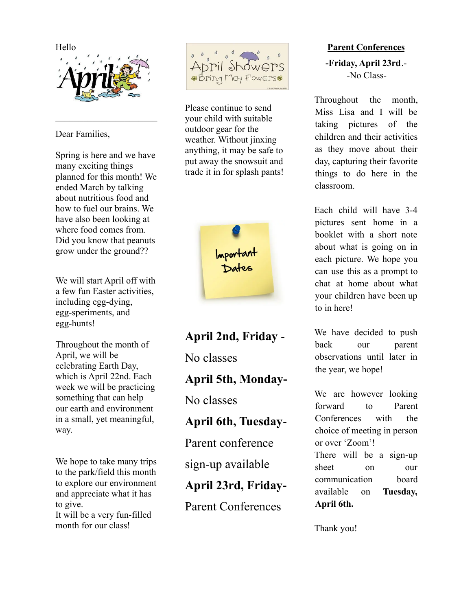

 $\mathcal{L}_\text{max}$ 

Dear Families,

Spring is here and we have many exciting things planned for this month! We ended March by talking about nutritious food and how to fuel our brains. We have also been looking at where food comes from. Did you know that peanuts grow under the ground??

We will start April off with a few fun Easter activities, including egg-dying, egg-speriments, and egg-hunts!

Throughout the month of April, we will be celebrating Earth Day, which is April 22nd. Each week we will be practicing something that can help our earth and environment in a small, yet meaningful, way.

We hope to take many trips to the park/field this month to explore our environment and appreciate what it has to give. It will be a very fun-filled month for our class!



Please continue to send your child with suitable outdoor gear for the weather. Without jinxing anything, it may be safe to put away the snowsuit and trade it in for splash pants!



**April 2nd, Friday** - No classes **April 5th, Monday-**No classes **April 6th, Tuesday**-Parent conference sign-up available **April 23rd, Friday-**Parent Conferences

## **Parent Conferences**

**-Friday, April 23rd**.- -No Class-

Throughout the month, Miss Lisa and I will be taking pictures of the children and their activities as they move about their day, capturing their favorite things to do here in the classroom.

Each child will have 3-4 pictures sent home in a booklet with a short note about what is going on in each picture. We hope you can use this as a prompt to chat at home about what your children have been up to in here!

We have decided to push back our parent observations until later in the year, we hope!

We are however looking forward to Parent Conferences with the choice of meeting in person or over 'Zoom'! There will be a sign-up sheet on our communication board available on **Tuesday, April 6th.**

Thank you!